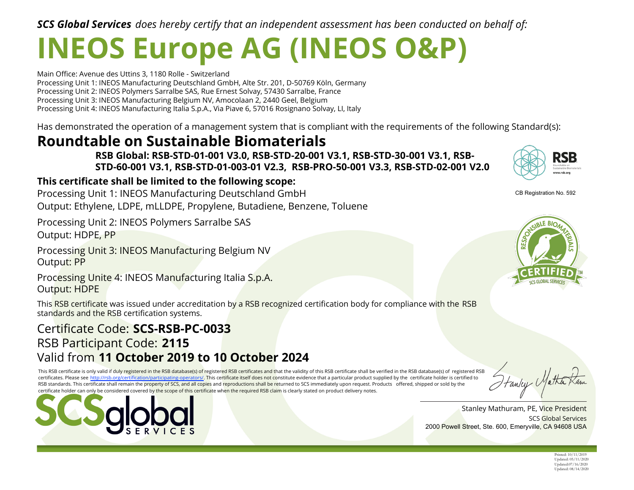*SCS Global Services does hereby certify that an independent assessment has been conducted on behalf of:*

# **INEOS Europe AG (INEOS O&P)**

Main Office: Avenue des Uttins 3, 1180 Rolle - Switzerland Processing Unit 1: INEOS Manufacturing Deutschland GmbH, Alte Str. 201, D-50769 Köln, Germany Processing Unit 2: INEOS Polymers Sarralbe SAS, Rue Ernest Solvay, 57430 Sarralbe, France Processing Unit 3: INEOS Manufacturing Belgium NV, Amocolaan 2, 2440 Geel, Belgium Processing Unit 4: INEOS Manufacturing Italia S.p.A., Via Piave 6, 57016 Rosignano Solvay, LI, Italy

Has demonstrated the operation of a management system that is compliant with the requirements of the following Standard(s):

## **Roundtable on Sustainable Biomaterials**

**RSB Global: RSB-STD-01-001 V3.0, RSB-STD-20-001 V3.1, RSB-STD-30-001 V3.1, RSB-STD-60-001 V3.1, RSB-STD-01-003-01 V2.3, RSB-PRO-50-001 V3.3, RSB-STD-02-001 V2.0**

### **This certificate shall be limited to the following scope:**

Processing Unit 1: INEOS Manufacturing Deutschland GmbH Output: Ethylene, LDPE, mLLDPE, Propylene, Butadiene, Benzene, Toluene

Processing Unit 2: INEOS Polymers Sarralbe SAS Output: HDPE, PP

Processing Unit 3: INEOS Manufacturing Belgium NV Output: PP

Processing Unite 4: INEOS Manufacturing Italia S.p.A. Output: HDPE

This RSB certificate was issued under accreditation by a RSB recognized certification body for compliance with the RSB standards and the RSB certification systems.

## Certificate Code: **SCS-RSB-PC-0033** RSB Participant Code: **2115** Valid from **11 October 2019 to 10 October 2024**

This RSB certificate is only valid if duly registered in the RSB database(s) of registered RSB certificates and that the validity of this RSB certificate shall be verified in the RSB database(s) of registered RSB certificates. Please see http://rsb.org/certification/participating-operators/. This certificate itself does not constitute evidence that a particular product supplied by the certificate holder is certified to RSB standards. This certificate shall remain the property of SCS, and all copies and reproductions shall be returned to SCS immediately upon request. Products offered, shipped or sold by the certificate holder can only be considered covered by the scope of this certificate when the required RSB claim is clearly stated on product delivery notes.





CB Registration No. 592



SCS Global Services Stanley Mathuram, PE, Vice President 2000 Powell Street, Ste. 600, Emeryville, CA 94608 USA

Printed: 10/11/2019 Updated: 05/11/2020 Updated:07/16/2020 Updated: 08/14/2020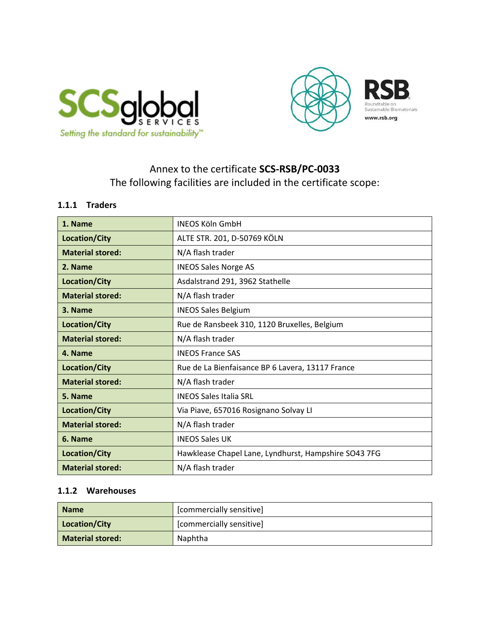



## Annex to the certificate **SCS-RSB/PC-0033**  The following facilities are included in the certificate scope:

#### **1.1.1 Traders**

| 1. Name                 | <b>INEOS Köln GmbH</b>                               |
|-------------------------|------------------------------------------------------|
| Location/City           | ALTE STR. 201, D-50769 KÖLN                          |
| <b>Material stored:</b> | N/A flash trader                                     |
| 2. Name                 | <b>INEOS Sales Norge AS</b>                          |
| Location/City           | Asdalstrand 291, 3962 Stathelle                      |
| <b>Material stored:</b> | N/A flash trader                                     |
| 3. Name                 | <b>INEOS Sales Belgium</b>                           |
| Location/City           | Rue de Ransbeek 310, 1120 Bruxelles, Belgium         |
| <b>Material stored:</b> | N/A flash trader                                     |
| 4. Name                 | <b>INEOS France SAS</b>                              |
| Location/City           | Rue de La Bienfaisance BP 6 Lavera, 13117 France     |
| <b>Material stored:</b> | N/A flash trader                                     |
| 5. Name                 | <b>INEOS Sales Italia SRL</b>                        |
| Location/City           | Via Piave, 657016 Rosignano Solvay LI                |
| <b>Material stored:</b> | N/A flash trader                                     |
| 6. Name                 | <b>INEOS Sales UK</b>                                |
| Location/City           | Hawklease Chapel Lane, Lyndhurst, Hampshire SO43 7FG |
| <b>Material stored:</b> | N/A flash trader                                     |

#### **1.1.2 Warehouses**

| <b>Name</b>             | [commercially sensitive] |
|-------------------------|--------------------------|
| Location/City           | [commercially sensitive] |
| <b>Material stored:</b> | Naphtha                  |